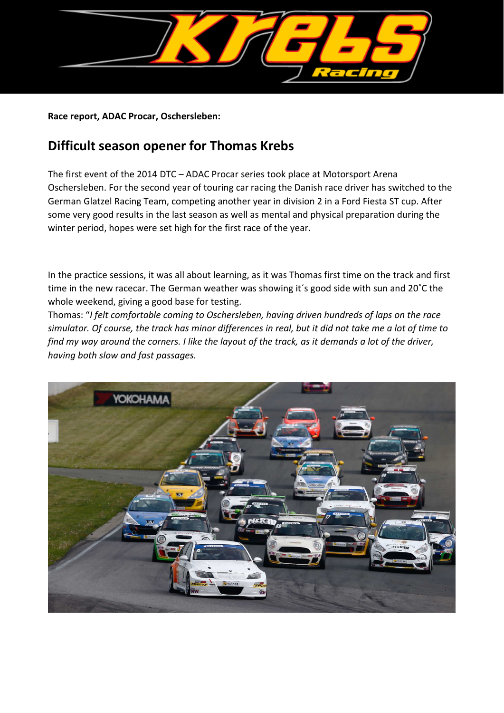

**Race report, ADAC Procar, Oschersleben:**

## **Difficult season opener for Thomas Krebs**

The first event of the 2014 DTC – ADAC Procar series took place at Motorsport Arena Oschersleben. For the second year of touring car racing the Danish race driver has switched to the German Glatzel Racing Team, competing another year in division 2 in a Ford Fiesta ST cup. After some very good results in the last season as well as mental and physical preparation during the winter period, hopes were set high for the first race of the year.

In the practice sessions, it was all about learning, as it was Thomas first time on the track and first time in the new racecar. The German weather was showing it´s good side with sun and 20˚C the whole weekend, giving a good base for testing.

Thomas: "*I felt comfortable coming to Oschersleben, having driven hundreds of laps on the race simulator. Of course, the track has minor differences in real, but it did not take me a lot of time to find my way around the corners. I like the layout of the track, as it demands a lot of the driver, having both slow and fast passages.*